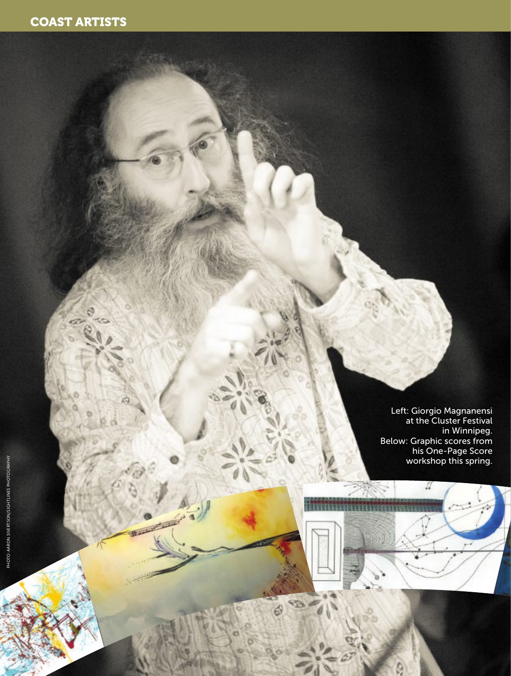Left: Giorgio Magnanensi at the Cluster Festival in Winnipeg. Below: Graphic scores from his One-Page Score workshop this spring.

Д

Ģ

Page 18 – Coast Life – Summer 2016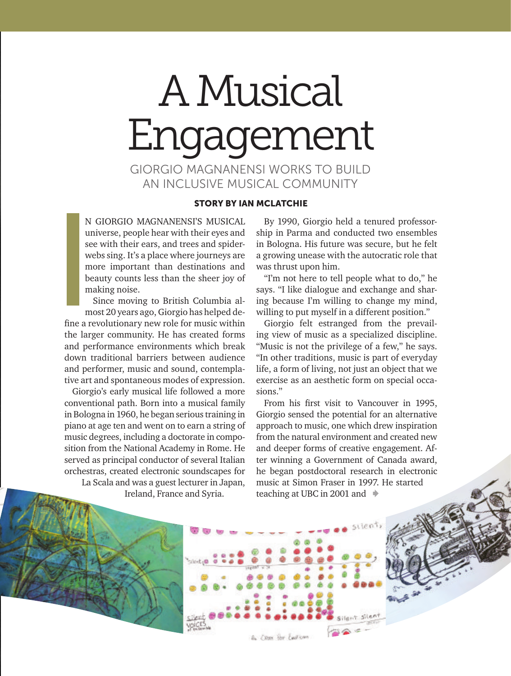## A Musical Engagement GIORGIO MAGNANENSI WORKS TO BUILD

AN INCLUSIVE MUSICAL COMMUNITY

## STORY BY IAN MCLATCHIE

N GIORGIO MAGNANENSI'S MUSICAL universe, people hear with their eyes and see with their ears, and trees and spiderwebs sing. It's a place where journeys are more important than destinations and beauty counts less than the sheer joy of making noise.

Since moving to British Columbia almost 20 years ago, Giorgio has helped define a revolutionary new role for music within the larger community. He has created forms and performance environments which break down traditional barriers between audience and performer, music and sound, contemplative art and spontaneous modes of expression.

Giorgio's early musical life followed a more conventional path. Born into a musical family in Bologna in 1960, he began serious training in piano at age ten and went on to earn a string of music degrees, including a doctorate in composition from the National Academy in Rome. He served as principal conductor of several Italian orchestras, created electronic soundscapes for La Scala and was a guest lecturer in Japan,

Ireland, France and Syria.

By 1990, Giorgio held a tenured professorship in Parma and conducted two ensembles in Bologna. His future was secure, but he felt a growing unease with the autocratic role that was thrust upon him.

"I'm not here to tell people what to do," he says. "I like dialogue and exchange and sharing because I'm willing to change my mind, willing to put myself in a different position."

Giorgio felt estranged from the prevailing view of music as a specialized discipline. "Music is not the privilege of a few," he says. "In other traditions, music is part of everyday life, a form of living, not just an object that we exercise as an aesthetic form on special occasions."

From his first visit to Vancouver in 1995, Giorgio sensed the potential for an alternative approach to music, one which drew inspiration from the natural environment and created new and deeper forms of creative engagement. After winning a Government of Canada award, he began postdoctoral research in electronic music at Simon Fraser in 1997. He started teaching at UBC in 2001 and '

 $\rightarrow$